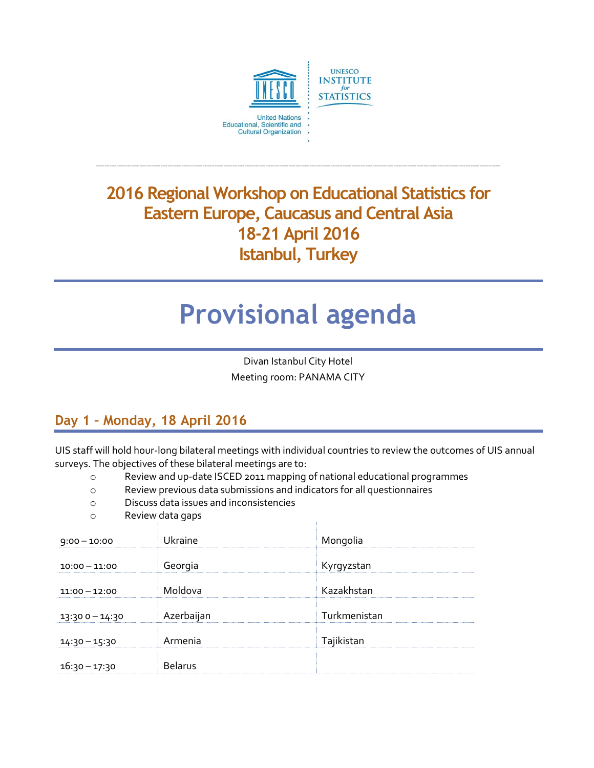

## **2016 Regional Workshop on Educational Statistics for Eastern Europe, Caucasus and Central Asia 18-21 April 2016 Istanbul, Turkey**

# **Provisional agenda**

Divan Istanbul City Hotel Meeting room: PANAMA CITY

### **Day 1 – Monday, 18 April 2016**

o Review data gaps

UIS staff will hold hour-long bilateral meetings with individual countries to review the outcomes of UIS annual surveys. The objectives of these bilateral meetings are to:

- o Review and up-date ISCED 2011 mapping of national educational programmes
- o Review previous data submissions and indicators for all questionnaires
- o Discuss data issues and inconsistencies

| $9:00 - 10:00$   | Ukraine        | Mongolia     |
|------------------|----------------|--------------|
| $10:00 - 11:00$  | Georgia        | Kyrgyzstan   |
| $11:00 - 12:00$  | Moldova        | Kazakhstan   |
| $13:300 - 14:30$ | Azerbaijan     | Turkmenistan |
|                  |                |              |
| $14:30 - 15:30$  | Armenia        | Tajikistan   |
| $16:30 - 17:30$  | <b>Belarus</b> |              |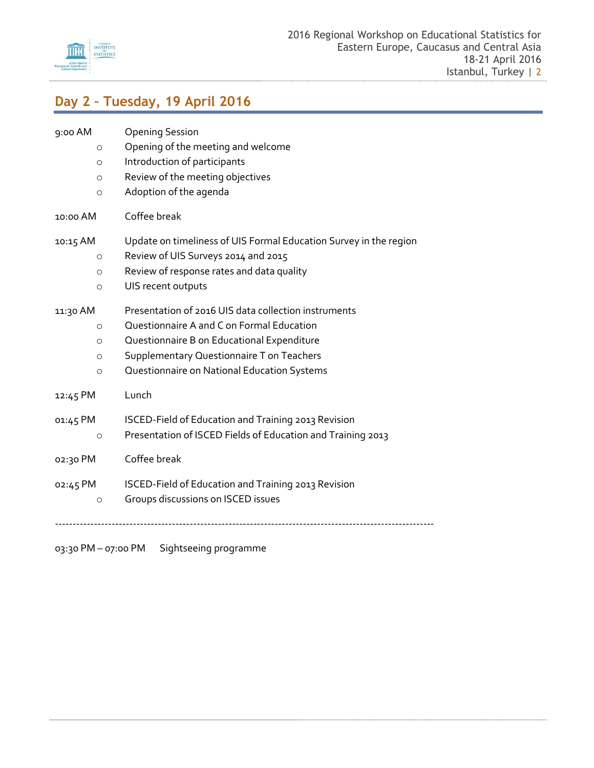

### **Day 2 – Tuesday, 19 April 2016**

| 9:00 AM | <b>Opening Session</b> |
|---------|------------------------|
|         |                        |

- o Opening of the meeting and welcome
- o Introduction of participants
- o Review of the meeting objectives
- o Adoption of the agenda
- 10:00 AM Coffee break
- 10:15 AM Update on timeliness of UIS Formal Education Survey in the region
	- o Review of UIS Surveys 2014 and 2015
	- o Review of response rates and data quality
	- o UIS recent outputs

#### 11:30 AM Presentation of 2016 UIS data collection instruments

- o Questionnaire A and C on Formal Education
- o Questionnaire B on Educational Expenditure
- o Supplementary Questionnaire T on Teachers
- o Questionnaire on National Education Systems
- 12:45 PM Lunch
- 01:45 PM ISCED-Field of Education and Training 2013 Revision
	- o Presentation of ISCED Fields of Education and Training 2013
- 02:30 PM Coffee break
- 02:45 PM ISCED-Field of Education and Training 2013 Revision
	- o Groups discussions on ISCED issues

-----------------------------------------------------------------------------------------------------------

03:30 PM – 07:00 PM Sightseeing programme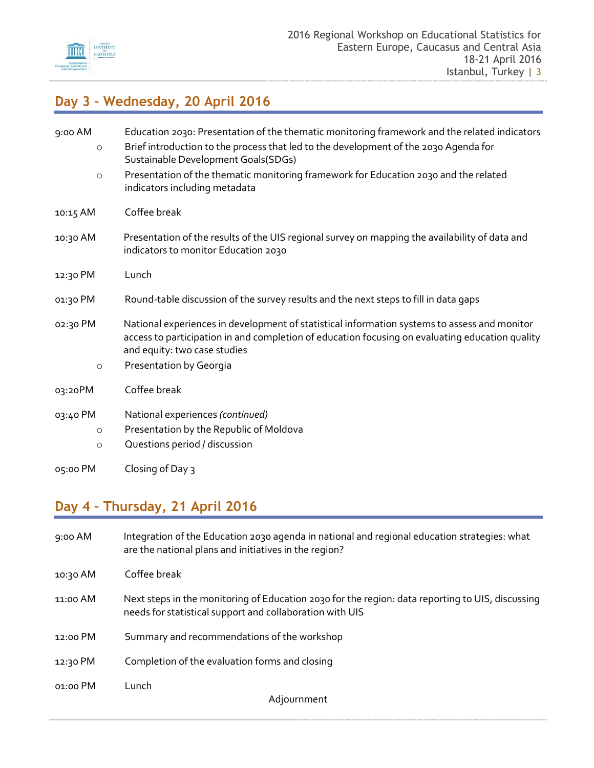

### **Day 3 – Wednesday, 20 April 2016**

| 9:00 AM  | Education 2030: Presentation of the thematic monitoring framework and the related indicators                                                                                                                                    |
|----------|---------------------------------------------------------------------------------------------------------------------------------------------------------------------------------------------------------------------------------|
| $\circ$  | Brief introduction to the process that led to the development of the 2030 Agenda for<br>Sustainable Development Goals(SDGs)                                                                                                     |
| $\circ$  | Presentation of the thematic monitoring framework for Education 2030 and the related<br>indicators including metadata                                                                                                           |
| 10:15 AM | Coffee break                                                                                                                                                                                                                    |
| 10:30 AM | Presentation of the results of the UIS regional survey on mapping the availability of data and<br>indicators to monitor Education 2030                                                                                          |
| 12:30 PM | Lunch                                                                                                                                                                                                                           |
| 01:30 PM | Round-table discussion of the survey results and the next steps to fill in data gaps                                                                                                                                            |
| 02:30 PM | National experiences in development of statistical information systems to assess and monitor<br>access to participation in and completion of education focusing on evaluating education quality<br>and equity: two case studies |
| $\circ$  | Presentation by Georgia                                                                                                                                                                                                         |
| 03:20PM  | Coffee break                                                                                                                                                                                                                    |
| 03:40 PM | National experiences (continued)                                                                                                                                                                                                |
| $\circ$  | Presentation by the Republic of Moldova                                                                                                                                                                                         |
| $\circ$  | Questions period / discussion                                                                                                                                                                                                   |
| 05:00 PM | Closing of Day 3                                                                                                                                                                                                                |

### **Day 4 – Thursday, 21 April 2016**

| $9:00$ AM | Integration of the Education 2030 agenda in national and regional education strategies: what<br>are the national plans and initiatives in the region?        |
|-----------|--------------------------------------------------------------------------------------------------------------------------------------------------------------|
| 10:30 AM  | Coffee break                                                                                                                                                 |
| 11:00 AM  | Next steps in the monitoring of Education 2030 for the region: data reporting to UIS, discussing<br>needs for statistical support and collaboration with UIS |
| 12:00 PM  | Summary and recommendations of the workshop                                                                                                                  |
| 12:30 PM  | Completion of the evaluation forms and closing                                                                                                               |
| 01:00 PM  | Lunch<br>Adjournment                                                                                                                                         |